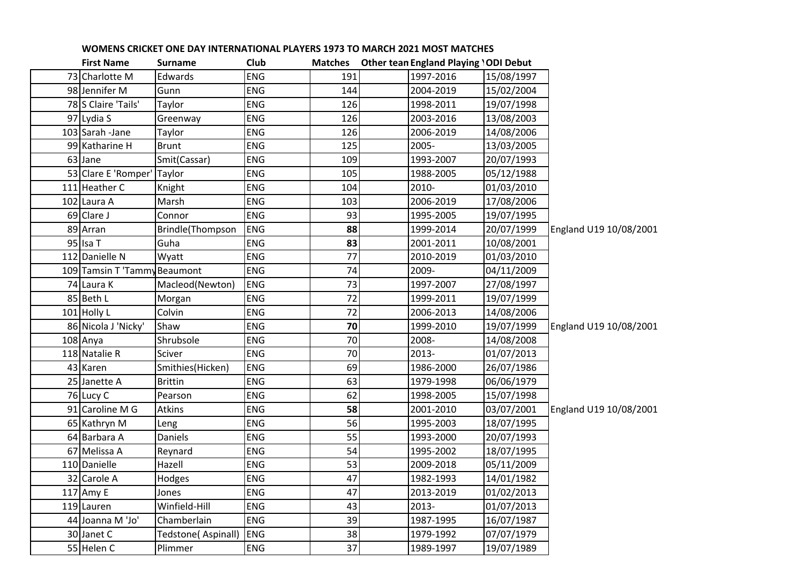| <b>First Name</b>            | <b>Surname</b>     | Club       | <b>Matches</b>  | <b>Other tean England Playing 'ODI Debut</b> |            |                        |
|------------------------------|--------------------|------------|-----------------|----------------------------------------------|------------|------------------------|
| 73 Charlotte M               | Edwards            | <b>ENG</b> | 191             | 1997-2016                                    | 15/08/1997 |                        |
| 98 Jennifer M                | Gunn               | <b>ENG</b> | 144             | 2004-2019                                    | 15/02/2004 |                        |
| 78 S Claire 'Tails'          | Taylor             | <b>ENG</b> | 126             | 1998-2011                                    | 19/07/1998 |                        |
| 97 Lydia S                   | Greenway           | <b>ENG</b> | 126             | 2003-2016                                    | 13/08/2003 |                        |
| 103 Sarah - Jane             | Taylor             | <b>ENG</b> | 126             | 2006-2019                                    | 14/08/2006 |                        |
| 99 Katharine H               | <b>Brunt</b>       | <b>ENG</b> | 125             | 2005-                                        | 13/03/2005 |                        |
| 63 Jane                      | Smit(Cassar)       | <b>ENG</b> | 109             | 1993-2007                                    | 20/07/1993 |                        |
| 53 Clare E 'Romper'          | Taylor             | <b>ENG</b> | 105             | 1988-2005                                    | 05/12/1988 |                        |
| 111 Heather C                | Knight             | ENG        | 104             | 2010-                                        | 01/03/2010 |                        |
| 102 Laura A                  | Marsh              | <b>ENG</b> | 103             | 2006-2019                                    | 17/08/2006 |                        |
| 69 Clare J                   | Connor             | <b>ENG</b> | 93              | 1995-2005                                    | 19/07/1995 |                        |
| 89 Arran                     | Brindle(Thompson   | <b>ENG</b> | 88              | 1999-2014                                    | 20/07/1999 | England U19 10/08/2001 |
| 95 Isa T                     | Guha               | <b>ENG</b> | 83              | 2001-2011                                    | 10/08/2001 |                        |
| 112 Danielle N               | Wyatt              | <b>ENG</b> | 77              | 2010-2019                                    | 01/03/2010 |                        |
| 109 Tamsin T 'Tammy Beaumont |                    | <b>ENG</b> | 74              | 2009-                                        | 04/11/2009 |                        |
| 74 Laura K                   | Macleod(Newton)    | <b>ENG</b> | 73              | 1997-2007                                    | 27/08/1997 |                        |
| 85 Beth L                    | Morgan             | <b>ENG</b> | 72              | 1999-2011                                    | 19/07/1999 |                        |
| 101 Holly L                  | Colvin             | <b>ENG</b> | $\overline{72}$ | 2006-2013                                    | 14/08/2006 |                        |
| 86 Nicola J 'Nicky'          | Shaw               | <b>ENG</b> | 70              | 1999-2010                                    | 19/07/1999 | England U19 10/08/2001 |
| 108 Anya                     | Shrubsole          | <b>ENG</b> | 70              | 2008-                                        | 14/08/2008 |                        |
| 118 Natalie R                | Sciver             | <b>ENG</b> | 70              | 2013-                                        | 01/07/2013 |                        |
| 43 Karen                     | Smithies(Hicken)   | <b>ENG</b> | 69              | 1986-2000                                    | 26/07/1986 |                        |
| 25 Janette A                 | <b>Brittin</b>     | <b>ENG</b> | 63              | 1979-1998                                    | 06/06/1979 |                        |
| 76 Lucy C                    | Pearson            | <b>ENG</b> | 62              | 1998-2005                                    | 15/07/1998 |                        |
| 91 Caroline M G              | <b>Atkins</b>      | ENG        | 58              | 2001-2010                                    | 03/07/2001 | England U19 10/08/2001 |
| 65 Kathryn M                 | Leng               | <b>ENG</b> | 56              | 1995-2003                                    | 18/07/1995 |                        |
| 64 Barbara A                 | <b>Daniels</b>     | <b>ENG</b> | 55              | 1993-2000                                    | 20/07/1993 |                        |
| 67 Melissa A                 | Reynard            | <b>ENG</b> | 54              | 1995-2002                                    | 18/07/1995 |                        |
| 110 Danielle                 | Hazell             | <b>ENG</b> | 53              | 2009-2018                                    | 05/11/2009 |                        |
| 32 Carole A                  | Hodges             | <b>ENG</b> | 47              | 1982-1993                                    | 14/01/1982 |                        |
| 117 Amy E                    | Jones              | ENG        | 47              | 2013-2019                                    | 01/02/2013 |                        |
| 119 Lauren                   | Winfield-Hill      | ENG        | 43              | 2013-                                        | 01/07/2013 |                        |
| 44 Joanna M 'Jo'             | Chamberlain        | <b>ENG</b> | 39              | 1987-1995                                    | 16/07/1987 |                        |
| 30 Janet C                   | Tedstone(Aspinall) | <b>ENG</b> | 38              | 1979-1992                                    | 07/07/1979 |                        |
| 55 Helen C                   | Plimmer            | <b>ENG</b> | 37              | 1989-1997                                    | 19/07/1989 |                        |
|                              |                    |            |                 |                                              |            |                        |

## **WOMENS CRICKET ONE DAY INTERNATIONAL PLAYERS 1973 TO MARCH 2021 MOST MATCHES**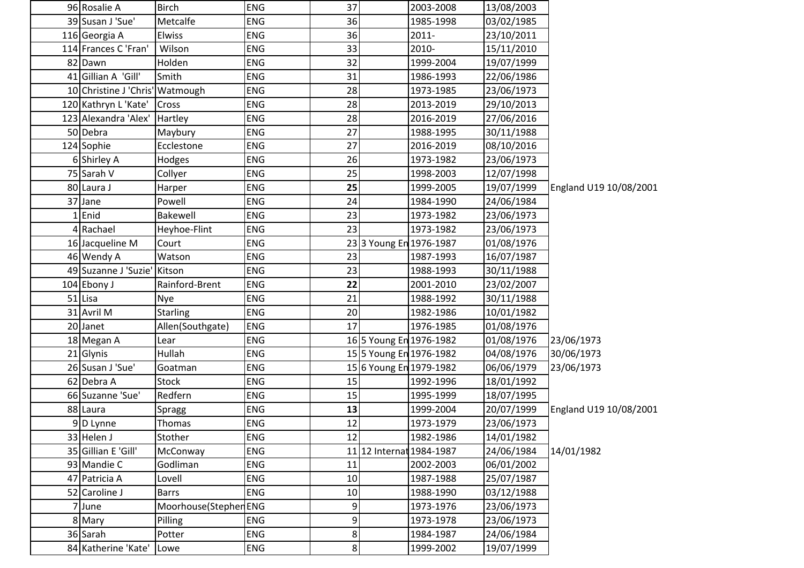| 96 Rosalie A                    | <b>Birch</b>         | <b>ENG</b> | 37     |                          | 2003-2008 | 13/08/2003 |                        |
|---------------------------------|----------------------|------------|--------|--------------------------|-----------|------------|------------------------|
| 39 Susan J 'Sue'                | Metcalfe             | <b>ENG</b> | 36     |                          | 1985-1998 | 03/02/1985 |                        |
| 116 Georgia A                   | Elwiss               | ENG        | 36     |                          | 2011-     | 23/10/2011 |                        |
| 114 Frances C 'Fran'            | Wilson               | <b>ENG</b> | 33     |                          | 2010-     | 15/11/2010 |                        |
| 82 Dawn                         | Holden               | <b>ENG</b> | 32     |                          | 1999-2004 | 19/07/1999 |                        |
| 41 Gillian A 'Gill'             | Smith                | <b>ENG</b> | 31     |                          | 1986-1993 | 22/06/1986 |                        |
| 10 Christine J 'Chris' Watmough |                      | <b>ENG</b> | 28     |                          | 1973-1985 | 23/06/1973 |                        |
| 120 Kathryn L'Kate'             | Cross                | ENG        | 28     |                          | 2013-2019 | 29/10/2013 |                        |
| 123 Alexandra 'Alex'            | Hartley              | ENG        | 28     |                          | 2016-2019 | 27/06/2016 |                        |
| 50 Debra                        | Maybury              | ENG        | 27     |                          | 1988-1995 | 30/11/1988 |                        |
| 124 Sophie                      | Ecclestone           | ENG        | 27     |                          | 2016-2019 | 08/10/2016 |                        |
| 6 Shirley A                     | Hodges               | <b>ENG</b> | 26     |                          | 1973-1982 | 23/06/1973 |                        |
| 75 Sarah V                      | Collyer              | <b>ENG</b> | 25     |                          | 1998-2003 | 12/07/1998 |                        |
| 80 Laura J                      | Harper               | ENG        | 25     |                          | 1999-2005 | 19/07/1999 | England U19 10/08/2001 |
| 37 Jane                         | Powell               | <b>ENG</b> | 24     |                          | 1984-1990 | 24/06/1984 |                        |
| $1$ Enid                        | Bakewell             | ENG        | 23     |                          | 1973-1982 | 23/06/1973 |                        |
| 4 Rachael                       | Heyhoe-Flint         | <b>ENG</b> | 23     |                          | 1973-1982 | 23/06/1973 |                        |
| 16 Jacqueline M                 | Court                | <b>ENG</b> |        | 233 Young En 1976-1987   |           | 01/08/1976 |                        |
| 46 Wendy A                      | Watson               | <b>ENG</b> | 23     |                          | 1987-1993 | 16/07/1987 |                        |
| 49 Suzanne J 'Suzie' Kitson     |                      | ENG        | 23     |                          | 1988-1993 | 30/11/1988 |                        |
| 104 Ebony J                     | Rainford-Brent       | <b>ENG</b> | 22     |                          | 2001-2010 | 23/02/2007 |                        |
| 51 Lisa                         | <b>Nye</b>           | ENG        | 21     |                          | 1988-1992 | 30/11/1988 |                        |
| 31 Avril M                      | <b>Starling</b>      | <b>ENG</b> | 20     |                          | 1982-1986 | 10/01/1982 |                        |
| 20 Janet                        | Allen(Southgate)     | <b>ENG</b> | 17     |                          | 1976-1985 | 01/08/1976 |                        |
| 18 Megan A                      | Lear                 | <b>ENG</b> |        | 16 5 Young En 1976-1982  |           | 01/08/1976 | 23/06/1973             |
| 21 Glynis                       | Hullah               | <b>ENG</b> |        | 15 5 Young En 1976-1982  |           | 04/08/1976 | 30/06/1973             |
| 26 Susan J 'Sue'                | Goatman              | <b>ENG</b> |        | 15 6 Young En 1979-1982  |           | 06/06/1979 | 23/06/1973             |
| 62 Debra A                      | <b>Stock</b>         | ENG        | 15     |                          | 1992-1996 | 18/01/1992 |                        |
| 66 Suzanne 'Sue'                | Redfern              | ENG        | 15     |                          | 1995-1999 | 18/07/1995 |                        |
| 88 Laura                        | Spragg               | <b>ENG</b> | 13     |                          | 1999-2004 | 20/07/1999 | England U19 10/08/2001 |
| 9D Lynne                        | Thomas               | <b>ENG</b> | 12     |                          | 1973-1979 | 23/06/1973 |                        |
| 33 Helen J                      | Stother              | <b>ENG</b> | 12     |                          | 1982-1986 | 14/01/1982 |                        |
| 35 Gillian E 'Gill'             | McConway             | <b>ENG</b> |        | 11 12 Internat 1984-1987 |           | 24/06/1984 | 14/01/1982             |
| 93 Mandie C                     | Godliman             | <b>ENG</b> | 11     |                          | 2002-2003 | 06/01/2002 |                        |
| 47 Patricia A                   | Lovell               | <b>ENG</b> | $10\,$ |                          | 1987-1988 | 25/07/1987 |                        |
| 52 Caroline J                   | <b>Barrs</b>         | <b>ENG</b> | 10     |                          | 1988-1990 | 03/12/1988 |                        |
| 7 June                          | Moorhouse(StephenENG |            | 9      |                          | 1973-1976 | 23/06/1973 |                        |
| 8 Mary                          | Pilling              | <b>ENG</b> | 9      |                          | 1973-1978 | 23/06/1973 |                        |
| 36 Sarah                        | Potter               | <b>ENG</b> | 8      |                          | 1984-1987 | 24/06/1984 |                        |
| 84 Katherine 'Kate'             | Lowe                 | <b>ENG</b> | 8      |                          | 1999-2002 | 19/07/1999 |                        |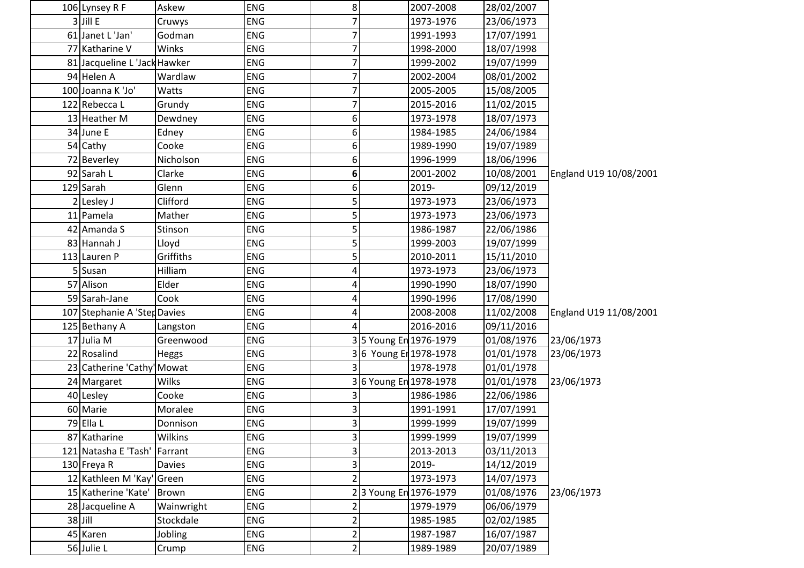| 106 Lynsey R F               | Askew         | <b>ENG</b> | 8 <sup>1</sup>          |                       | 2007-2008             | 28/02/2007 |                        |
|------------------------------|---------------|------------|-------------------------|-----------------------|-----------------------|------------|------------------------|
| $3$ Jill E                   | Cruwys        | <b>ENG</b> | $\overline{7}$          |                       | 1973-1976             | 23/06/1973 |                        |
| 61 Janet L 'Jan'             | Godman        | <b>ENG</b> | 7                       |                       | 1991-1993             | 17/07/1991 |                        |
| 77 Katharine V               | Winks         | <b>ENG</b> | 7                       |                       | 1998-2000             | 18/07/1998 |                        |
| 81 Jacqueline L 'Jack Hawker |               | <b>ENG</b> | 7                       |                       | 1999-2002             | 19/07/1999 |                        |
| 94 Helen A                   | Wardlaw       | <b>ENG</b> | 7                       |                       | 2002-2004             | 08/01/2002 |                        |
| 100 Joanna K 'Jo'            | Watts         | <b>ENG</b> | 7                       |                       | 2005-2005             | 15/08/2005 |                        |
| 122 Rebecca L                | Grundy        | ENG        |                         |                       | 2015-2016             | 11/02/2015 |                        |
| 13 Heather M                 | Dewdney       | <b>ENG</b> | 6                       |                       | 1973-1978             | 18/07/1973 |                        |
| 34 June E                    | Edney         | <b>ENG</b> | 6                       |                       | 1984-1985             | 24/06/1984 |                        |
| 54 Cathy                     | Cooke         | <b>ENG</b> | 6                       |                       | 1989-1990             | 19/07/1989 |                        |
| 72 Beverley                  | Nicholson     | <b>ENG</b> | 6                       |                       | 1996-1999             | 18/06/1996 |                        |
| 92 Sarah L                   | Clarke        | ENG        | 6                       |                       | 2001-2002             | 10/08/2001 | England U19 10/08/2001 |
| 129 Sarah                    | Glenn         | <b>ENG</b> | 6                       |                       | 2019-                 | 09/12/2019 |                        |
| 2 Lesley J                   | Clifford      | <b>ENG</b> | 5                       |                       | 1973-1973             | 23/06/1973 |                        |
| 11 Pamela                    | Mather        | <b>ENG</b> | $\overline{5}$          |                       | 1973-1973             | 23/06/1973 |                        |
| 42 Amanda S                  | Stinson       | <b>ENG</b> | 5                       |                       | 1986-1987             | 22/06/1986 |                        |
| 83 Hannah J                  | Lloyd         | <b>ENG</b> | 5                       |                       | 1999-2003             | 19/07/1999 |                        |
| 113 Lauren P                 | Griffiths     | <b>ENG</b> | 5                       |                       | 2010-2011             | 15/11/2010 |                        |
| 5 Susan                      | Hilliam       | <b>ENG</b> | 4                       |                       | 1973-1973             | 23/06/1973 |                        |
| 57 Alison                    | Elder         | ENG        | 4                       |                       | 1990-1990             | 18/07/1990 |                        |
| 59 Sarah-Jane                | Cook          | <b>ENG</b> | 4                       |                       | 1990-1996             | 17/08/1990 |                        |
| 107 Stephanie A 'Step Davies |               | <b>ENG</b> | 4                       |                       | 2008-2008             | 11/02/2008 | England U19 11/08/2001 |
| 125 Bethany A                | Langston      | ENG        | 4                       |                       | 2016-2016             | 09/11/2016 |                        |
| 17 Julia M                   | Greenwood     | ENG        |                         |                       | 35 Young En 1976-1979 | 01/08/1976 | 23/06/1973             |
| 22 Rosalind                  | Heggs         | <b>ENG</b> |                         |                       | 36 Young Er 1978-1978 | 01/01/1978 | 23/06/1973             |
| 23 Catherine 'Cathy' Mowat   |               | <b>ENG</b> | 3                       |                       | 1978-1978             | 01/01/1978 |                        |
| 24 Margaret                  | <b>Wilks</b>  | <b>ENG</b> |                         | 36 Young En 1978-1978 |                       | 01/01/1978 | 23/06/1973             |
| 40 Lesley                    | Cooke         | <b>ENG</b> | 3                       |                       | 1986-1986             | 22/06/1986 |                        |
| 60 Marie                     | Moralee       | <b>ENG</b> | 3                       |                       | 1991-1991             | 17/07/1991 |                        |
| 79 Ella L                    | Donnison      | <b>ENG</b> | $\overline{3}$          |                       | 1999-1999             | 19/07/1999 |                        |
| 87 Katharine                 | Wilkins       | <b>ENG</b> | $\overline{\mathbf{3}}$ |                       | 1999-1999             | 19/07/1999 |                        |
| 121 Natasha E 'Tash' Farrant |               | <b>ENG</b> | 3                       |                       | 2013-2013             | 03/11/2013 |                        |
| 130 Freya R                  | <b>Davies</b> | ENG        | 3                       |                       | 2019-                 | 14/12/2019 |                        |
| 12 Kathleen M 'Kay'          | Green         | <b>ENG</b> | $\overline{2}$          |                       | 1973-1973             | 14/07/1973 |                        |
| 15 Katherine 'Kate'          | Brown         | <b>ENG</b> |                         | 3 Young En 1976-1979  |                       | 01/08/1976 | 23/06/1973             |
| 28 Jacqueline A              | Wainwright    | <b>ENG</b> | 2                       |                       | 1979-1979             | 06/06/1979 |                        |
| $38$ Jill                    | Stockdale     | ENG        | $\overline{\mathbf{c}}$ |                       | 1985-1985             | 02/02/1985 |                        |
| 45 Karen                     | Jobling       | ENG        | 2                       |                       | 1987-1987             | 16/07/1987 |                        |
| 56 Julie L                   | Crump         | <b>ENG</b> | $\overline{2}$          |                       | 1989-1989             | 20/07/1989 |                        |